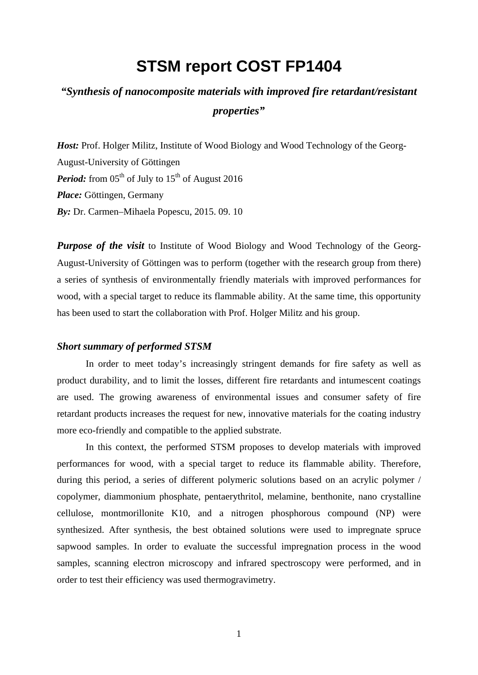# **STSM report COST FP1404**

## *"Synthesis of nanocomposite materials with improved fire retardant/resistant properties"*

*Host:* Prof. Holger Militz, Institute of Wood Biology and Wood Technology of the Georg-August-University of Göttingen *Period:* from  $05<sup>th</sup>$  of July to  $15<sup>th</sup>$  of August 2016 *Place:* Göttingen, Germany *By:* Dr. Carmen–Mihaela Popescu, 2015. 09. 10

*Purpose of the visit* to Institute of Wood Biology and Wood Technology of the Georg-August-University of Göttingen was to perform (together with the research group from there) a series of synthesis of environmentally friendly materials with improved performances for wood, with a special target to reduce its flammable ability. At the same time, this opportunity has been used to start the collaboration with Prof. Holger Militz and his group.

## *Short summary of performed STSM*

In order to meet today's increasingly stringent demands for fire safety as well as product durability, and to limit the losses, different fire retardants and intumescent coatings are used. The growing awareness of environmental issues and consumer safety of fire retardant products increases the request for new, innovative materials for the coating industry more eco-friendly and compatible to the applied substrate.

In this context, the performed STSM proposes to develop materials with improved performances for wood, with a special target to reduce its flammable ability. Therefore, during this period, a series of different polymeric solutions based on an acrylic polymer / copolymer, diammonium phosphate, pentaerythritol, melamine, benthonite, nano crystalline cellulose, montmorillonite K10, and a nitrogen phosphorous compound (NP) were synthesized. After synthesis, the best obtained solutions were used to impregnate spruce sapwood samples. In order to evaluate the successful impregnation process in the wood samples, scanning electron microscopy and infrared spectroscopy were performed, and in order to test their efficiency was used thermogravimetry.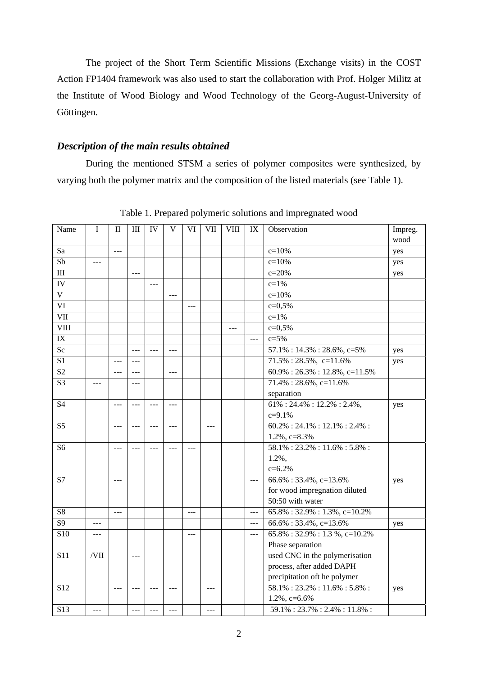The project of the Short Term Scientific Missions (Exchange visits) in the COST Action FP1404 framework was also used to start the collaboration with Prof. Holger Militz at the Institute of Wood Biology and Wood Technology of the Georg-August-University of Göttingen.

## *Description of the main results obtained*

During the mentioned STSM a series of polymer composites were synthesized, by varying both the polymer matrix and the composition of the listed materials (see Table 1).

| Name                           | I              | $_{\rm II}$    | $\mathbf{III}$ | IV             | V              | VI            | <b>VII</b> | <b>VIII</b>   | IX             | Observation                        | Impreg.<br>wood |
|--------------------------------|----------------|----------------|----------------|----------------|----------------|---------------|------------|---------------|----------------|------------------------------------|-----------------|
| Sa                             |                | $---$          |                |                |                |               |            |               |                | $c = 10%$                          | yes             |
| $\overline{\text{Sb}}$         | $\overline{a}$ |                |                |                |                |               |            |               |                | $c=10%$                            | yes             |
| $\rm III$                      |                |                |                |                |                |               |            |               |                | $c = 20%$                          | yes             |
| IV                             |                |                |                | $-$            |                |               |            |               |                | $c = 1\%$                          |                 |
| $\overline{\mathbf{V}}$        |                |                |                |                | $\frac{1}{2}$  |               |            |               |                | $c = 10%$                          |                 |
| VI                             |                |                |                |                |                |               |            |               |                | $c = 0.5%$                         |                 |
| <b>VII</b>                     |                |                |                |                |                |               |            |               |                | $c = 1%$                           |                 |
| $\overline{\text{VIII}}$       |                |                |                |                |                |               |            | $\frac{1}{2}$ |                | $c = 0,5%$                         |                 |
| IX                             |                |                |                |                |                |               |            |               | $\overline{a}$ | $c = 5%$                           |                 |
| Sc                             |                |                | $\overline{a}$ | $\overline{a}$ | $\overline{a}$ |               |            |               |                | $57.1\% : 14.3\% : 28.6\%, c=5\%$  | yes             |
| $\overline{S1}$                |                | $ -$           | $---$          |                |                |               |            |               |                | 71.5%: 28.5%, c=11.6%              | yes             |
| $\overline{S2}$                |                | $---$          | $---$          |                | $---$          |               |            |               |                | $60.9\%: 26.3\%: 12.8\%, c=11.5\%$ |                 |
| $\overline{S3}$                | $-$            |                | $---$          |                |                |               |            |               |                | $71.4\%: 28.6\%, c=11.6\%$         |                 |
|                                |                |                |                |                |                |               |            |               |                | separation                         |                 |
| <b>S4</b>                      |                | $-$ --         | $-$ --         | ш.,            | $\sim$         |               |            |               |                | $61\%: 24.4\%: 12.2\%: 2.4\%$ ,    | yes             |
|                                |                |                |                |                |                |               |            |               |                | $c = 9.1\%$                        |                 |
| S <sub>5</sub>                 |                | $---$          | ---            | $\overline{a}$ | $---$          |               | $---$      |               |                | $60.2\%: 24.1\%: 12.1\%: 2.4\%:$   |                 |
|                                |                |                |                |                |                |               |            |               |                | $1.2\%$ , c=8.3%                   |                 |
| S <sub>6</sub>                 |                | ---            | $---$          | $---$          | ---            | $---$         |            |               |                | $58.1\%:23.2\%:11.6\%:5.8\%:$      |                 |
|                                |                |                |                |                |                |               |            |               |                | $1.2\%$ ,                          |                 |
|                                |                |                |                |                |                |               |            |               |                | $c = 6.2\%$                        |                 |
| S7                             |                | ---            |                |                |                |               |            |               | $---$          | $66.6\%:33.4\%, c=13.6\%$          | yes             |
|                                |                |                |                |                |                |               |            |               |                | for wood impregnation diluted      |                 |
|                                |                |                |                |                |                |               |            |               |                | 50:50 with water                   |                 |
| ${\rm S}8$                     |                | $\overline{a}$ |                |                |                | $\frac{1}{2}$ |            |               | $\overline{a}$ | 65.8%: 32.9%: 1.3%, c=10.2%        |                 |
| $\overline{S9}$                | $---$          |                |                |                |                |               |            |               | $\frac{1}{2}$  | 66.6%: 33.4%, c=13.6%              | yes             |
| $\overline{$}$ S <sub>10</sub> | ---            |                |                |                |                | ---           |            |               | $\cdots$       | 65.8%: 32.9%: 1.3%, c=10.2%        |                 |
|                                |                |                |                |                |                |               |            |               |                | Phase separation                   |                 |
| <b>S11</b>                     | /VII           |                | ---            |                |                |               |            |               |                | used CNC in the polymerisation     |                 |
|                                |                |                |                |                |                |               |            |               |                | process, after added DAPH          |                 |
|                                |                |                |                |                |                |               |            |               |                | precipitation oft he polymer       |                 |
| S <sub>12</sub>                |                | $\frac{1}{2}$  | $---$          | $\frac{1}{2}$  | $---$          |               | $---$      |               |                | $58.1\%:23.2\%:11.6\%:5.8\%:$      | yes             |
|                                |                |                |                |                |                |               |            |               |                | $1.2\%$ , c=6.6%                   |                 |
| S13                            | $---$          |                | ---            | $- - -$        | $---$          |               | ---        |               |                | $59.1\%: 23.7\%: 2.4\%: 11.8\%:$   |                 |

Table 1. Prepared polymeric solutions and impregnated wood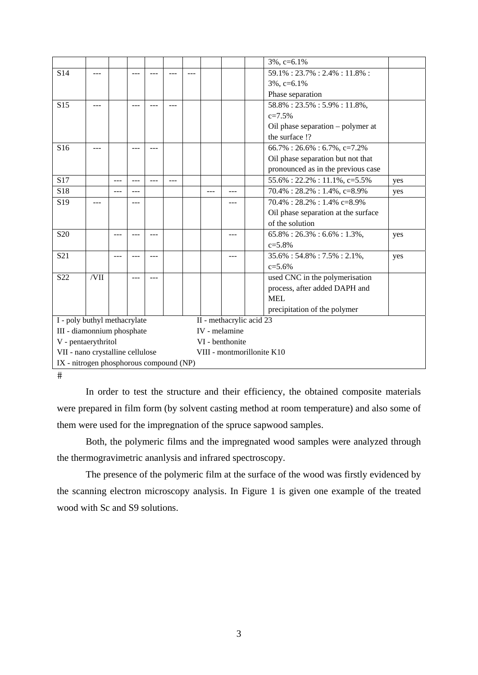|                                                          |      |         |       |       |     |  |                            |     |  | $3\%$ , c=6.1%                                |     |  |
|----------------------------------------------------------|------|---------|-------|-------|-----|--|----------------------------|-----|--|-----------------------------------------------|-----|--|
| S14                                                      |      |         |       |       |     |  |                            |     |  | 59.1%: 23.7%: 2.4%: 11.8%:                    |     |  |
|                                                          |      |         |       |       |     |  |                            |     |  | $3\%, c=6.1\%$                                |     |  |
|                                                          |      |         |       |       |     |  |                            |     |  | Phase separation                              |     |  |
| S <sub>15</sub>                                          |      |         |       |       |     |  |                            |     |  | $\overline{58.8\%}: 23.5\% : 5.9\% : 11.8\%,$ |     |  |
|                                                          |      |         |       |       |     |  |                            |     |  | $c = 7.5%$                                    |     |  |
|                                                          |      |         |       |       |     |  |                            |     |  | Oil phase separation - polymer at             |     |  |
|                                                          |      |         |       |       |     |  |                            |     |  | the surface !?                                |     |  |
| S <sub>16</sub>                                          |      |         |       | ---   |     |  |                            |     |  | $66.7\%:26.6\%:6.7\%,c=7.2\%$                 |     |  |
|                                                          |      |         |       |       |     |  |                            |     |  | Oil phase separation but not that             |     |  |
|                                                          |      |         |       |       |     |  |                            |     |  | pronounced as in the previous case            |     |  |
| S17                                                      |      |         | $---$ | $---$ | --- |  |                            |     |  | 55.6%: 22.2%: 11.1%, c=5.5%                   | yes |  |
| S18                                                      |      | $ -$    | ---   |       |     |  | ---                        | --- |  | $70.4\%: 28.2\%: 1.4\%, c=8.9\%$              | yes |  |
| S <sub>19</sub>                                          |      |         |       |       |     |  |                            |     |  | $70.4\%: 28.2\%: 1.4\% \text{ c}=8.9\%$       |     |  |
|                                                          |      |         |       |       |     |  |                            |     |  | Oil phase separation at the surface           |     |  |
|                                                          |      |         |       |       |     |  |                            |     |  | of the solution                               |     |  |
| S <sub>20</sub>                                          |      | $- - -$ | ---   | ---   |     |  |                            | --- |  | $65.8\%: 26.3\%: 6.6\%: 1.3\%,$               | yes |  |
|                                                          |      |         |       |       |     |  |                            |     |  | $c = 5.8%$                                    |     |  |
| S <sub>21</sub>                                          |      |         |       |       |     |  |                            |     |  | $35.6\% : 54.8\% : 7.5\% : 2.1\%$             | yes |  |
|                                                          |      |         |       |       |     |  |                            |     |  | $c = 5.6%$                                    |     |  |
| S <sub>22</sub>                                          | /VII |         |       | ---   |     |  |                            |     |  | used CNC in the polymerisation                |     |  |
|                                                          |      |         |       |       |     |  |                            |     |  | process, after added DAPH and                 |     |  |
|                                                          |      |         |       |       |     |  |                            |     |  | <b>MEL</b>                                    |     |  |
|                                                          |      |         |       |       |     |  |                            |     |  | precipitation of the polymer                  |     |  |
| I - poly buthyl methacrylate<br>II - methacrylic acid 23 |      |         |       |       |     |  |                            |     |  |                                               |     |  |
| III - diamonnium phosphate                               |      |         |       |       |     |  | IV - melamine              |     |  |                                               |     |  |
| V - pentaerythritol                                      |      |         |       |       |     |  | VI - benthonite            |     |  |                                               |     |  |
| VII - nano crystalline cellulose                         |      |         |       |       |     |  | VIII - montmorillonite K10 |     |  |                                               |     |  |
| IX - nitrogen phosphorous compound (NP)                  |      |         |       |       |     |  |                            |     |  |                                               |     |  |

 $#$ 

In order to test the structure and their efficiency, the obtained composite materials were prepared in film form (by solvent casting method at room temperature) and also some of them were used for the impregnation of the spruce sapwood samples.

Both, the polymeric films and the impregnated wood samples were analyzed through the thermogravimetric ananlysis and infrared spectroscopy.

The presence of the polymeric film at the surface of the wood was firstly evidenced by the scanning electron microscopy analysis. In Figure 1 is given one example of the treated wood with Sc and S9 solutions.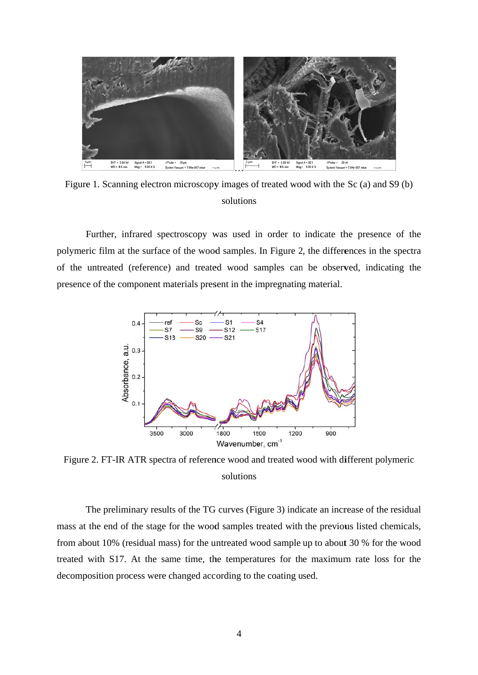

Figure 1. Scanning electron microscopy images of treated wood with the Sc (a) and S9 (b) solutions

Further, infrared spectroscopy was used in order to indicate the presence of the polymeric film at the surface of the wood samples. In Figure 2, the differences in the spectra of the untreated (reference) and treated wood samples can be observed, indicating the presence of the component materials present in the impregnating material.



Figure 2. FT-IR ATR spectra of reference wood and treated wood with different polymeric solutions

The preliminary results of the TG curves (Figure 3) indicate an increase of the residual mass at the end of the stage for the wood samples treated with the previous listed chemicals, from about 10% (residual mass) for the untreated wood sample up to about 30 % for the wood treated with S17. At the same time, the temperatures for the maximum rate loss for the decomposition process were changed according to the coating used.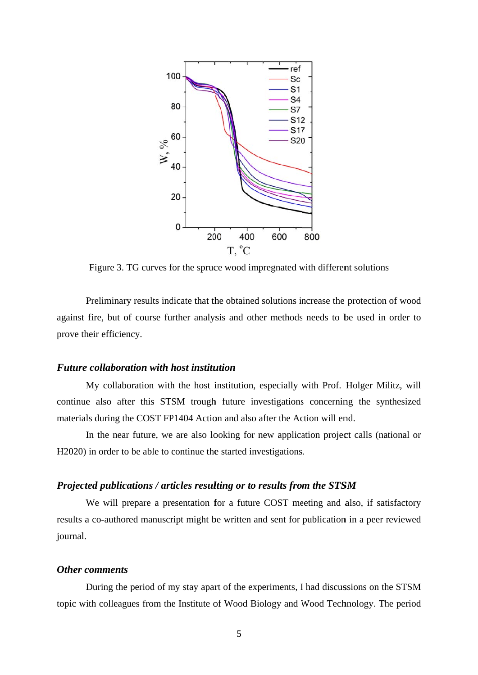

Figure 3. TG curves for the spruce wood impregnated with different solutions

Figure 3. TG curves for the spruce wood impregnated with different solutions<br>Preliminary results indicate that the obtained solutions increase the protection of wood against fire, but of course further analysis and other methods needs to be used in order to prove their efficiency.

## *Future collaboration with host institution*

My collaboration with the host institution, especially with Prof. Holger Militz, will continue also after this STSM trough future investigations concerning the synthesized materials during the COST FP1404 Action and also after the Action will end.

In the near future, we are also looking for new application project calls (national or H2020) in order to be able to continue the started investigations.

## *Projected publications / articles resulting or to results from the STSM*

We will prepare a presentation for a future COST meeting and also, if satisfactory results a co-authored manuscript might be written and sent for publication in a peer reviewed journal.

## *Other c comments*

During the period of my stay apart of the experiments, I had discussions on the STSM topic with colleagues from the Institute of Wood Biology and Wood Technology. The period